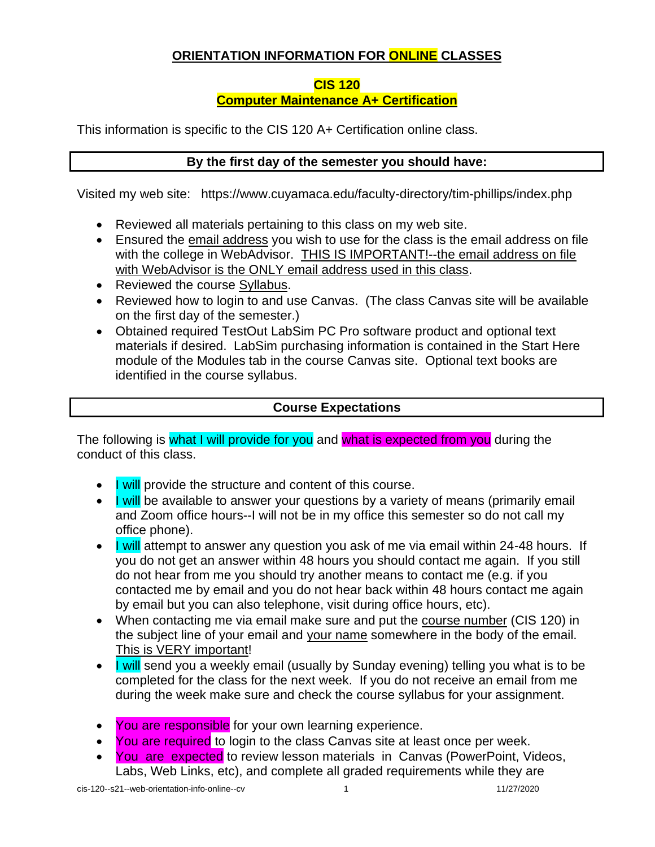# **ORIENTATION INFORMATION FOR ONLINE CLASSES**

#### **CIS 120**

## **Computer Maintenance A+ Certification**

This information is specific to the CIS 120 A+ Certification online class.

## **By the first day of the semester you should have:**

Visited my web site: <https://www.cuyamaca.edu/faculty-directory/tim-phillips/index.php>

- Reviewed all materials pertaining to this class on my web site.
- Ensured the email address you wish to use for the class is the email address on file with the college in WebAdvisor. THIS IS IMPORTANT!--the email address on file with WebAdvisor is the ONLY email address used in this class.
- Reviewed the course Syllabus.
- Reviewed how to login to and use Canvas. (The class Canvas site will be available on the first day of the semester.)
- Obtained required TestOut LabSim PC Pro software product and optional text materials if desired. LabSim purchasing information is contained in the Start Here module of the Modules tab in the course Canvas site. Optional text books are identified in the course syllabus.

## **Course Expectations**

The following is what I will provide for you and what is expected from you during the conduct of this class.

- I will provide the structure and content of this course.
- I will be available to answer your questions by a variety of means (primarily email and Zoom office hours--I will not be in my office this semester so do not call my office phone).
- I will attempt to answer any question you ask of me via email within 24-48 hours. If you do not get an answer within 48 hours you should contact me again. If you still do not hear from me you should try another means to contact me (e.g. if you contacted me by email and you do not hear back within 48 hours contact me again by email but you can also telephone, visit during office hours, etc).
- When contacting me via email make sure and put the course number (CIS 120) in the subject line of your email and your name somewhere in the body of the email. This is VERY important!
- I will send you a weekly email (usually by Sunday evening) telling you what is to be completed for the class for the next week. If you do not receive an email from me during the week make sure and check the course syllabus for your assignment.
- You are responsible for your own learning experience.
- You are required to login to the class Canvas site at least once per week.
- You are expected to review lesson materials in Canvas (PowerPoint, Videos, Labs, Web Links, etc), and complete all graded requirements while they are